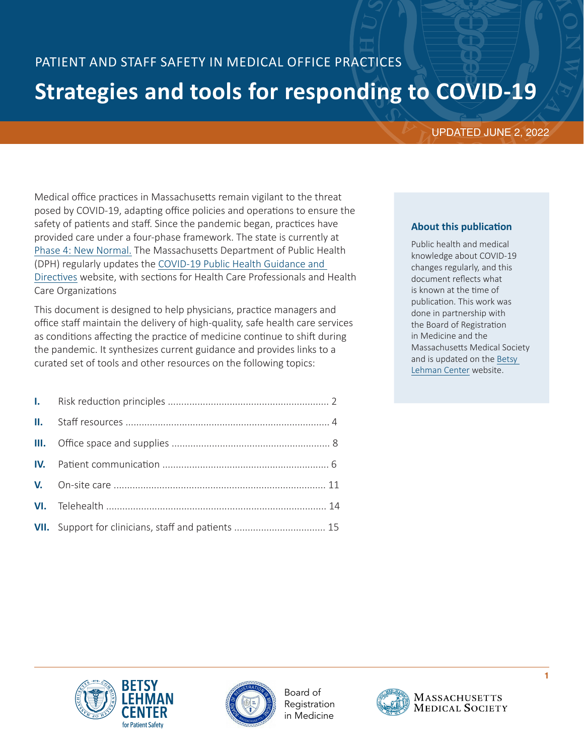# PATIENT AND STAFF SAFETY IN MEDICAL OFFICE PRACTICES **Strategies and tools for responding to COVID-19**

# UPDATED JUNE 2, 2022

Medical office practices in Massachusetts remain vigilant to the threat posed by COVID-19, adapting office policies and operations to ensure the safety of patients and staff. Since the pandemic began, practices have provided care under a four-phase framework. The state is currently at [Phase 4: New Normal.](https://www.mass.gov/lists/reopening-health-and-human-services-in-massachusetts) The Massachusetts Department of Public Health (DPH) regularly updates the [COVID-19 Public Health Guidance and](https://www.mass.gov/info-details/covid-19-public-health-guidance-and-directives#health-care-professionals)  [Directives](https://www.mass.gov/info-details/covid-19-public-health-guidance-and-directives#health-care-professionals) website, with sections for Health Care Professionals and Health Care Organizations

This document is designed to help physicians, practice managers and office staff maintain the delivery of high-quality, safe health care services as conditions affecting the practice of medicine continue to shift during the pandemic. It synthesizes current guidance and provides links to a curated set of tools and other resources on the following topics:

| VII. Support for clinicians, staff and patients  15 |
|-----------------------------------------------------|

# **About this publication**

Public health and medical knowledge about COVID-19 changes regularly, and this document reflects what is known at the time of publication. This work was done in partnership with the Board of Registration in Medicine and the Massachusetts Medical Society and is updated on the [Betsy](ttps://betsylehmancenterma.gov/covid-19)  [Lehman Center](ttps://betsylehmancenterma.gov/covid-19) website.





Board of Registration in Medicine

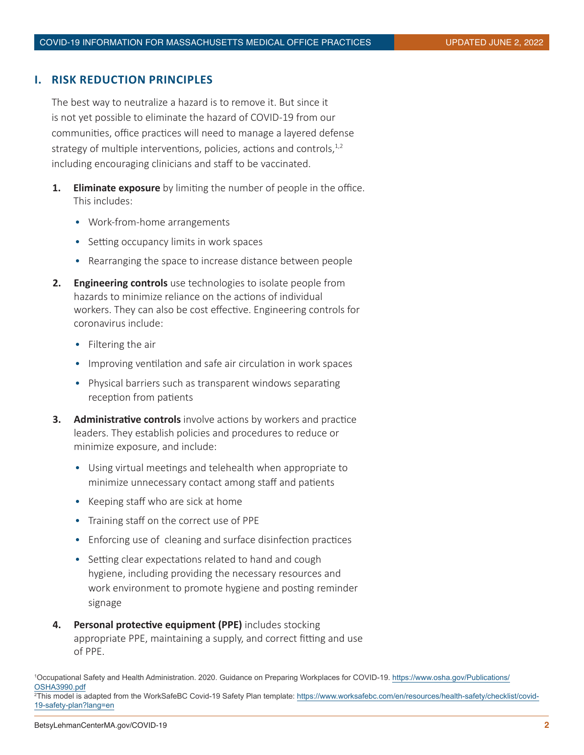## <span id="page-1-0"></span>**I. RISK REDUCTION PRINCIPLES**

The best way to neutralize a hazard is to remove it. But since it is not yet possible to eliminate the hazard of COVID-19 from our communities, office practices will need to manage a layered defense strategy of multiple interventions, policies, actions and controls, $1,2$ including encouraging clinicians and staff to be vaccinated.

- **1. Eliminate exposure** by limiting the number of people in the office. This includes:
	- Work-from-home arrangements
	- Setting occupancy limits in work spaces
	- Rearranging the space to increase distance between people
- **2. Engineering controls** use technologies to isolate people from hazards to minimize reliance on the actions of individual workers. They can also be cost effective. Engineering controls for coronavirus include:
	- Filtering the air
	- Improving ventilation and safe air circulation in work spaces
	- Physical barriers such as transparent windows separating reception from patients
- **3. Administrative controls** involve actions by workers and practice leaders. They establish policies and procedures to reduce or minimize exposure, and include:
	- Using virtual meetings and telehealth when appropriate to minimize unnecessary contact among staff and patients
	- Keeping staff who are sick at home
	- Training staff on the correct use of PPE
	- Enforcing use of cleaning and surface disinfection practices
	- Setting clear expectations related to hand and cough hygiene, including providing the necessary resources and work environment to promote hygiene and posting reminder signage
- **4. Personal protective equipment (PPE)** includes stocking appropriate PPE, maintaining a supply, and correct fitting and use of PPE.

1 Occupational Safety and Health Administration. 2020. Guidance on Preparing Workplaces for COVID-19. [https://www.osha.gov/Publications/](https://www.osha.gov/Publications/OSHA3990.pdf) [OSHA3990.pdf](https://www.osha.gov/Publications/OSHA3990.pdf) 2 This model is adapted from the WorkSafeBC Covid-19 Safety Plan template: [https://www.worksafebc.com/en/resources/health-safety/checklist/covid-](https://www.worksafebc.com/en/resources/health-safety/checklist/covid-19-safety-plan?lang=en)[19-safety-plan?lang=en](https://www.worksafebc.com/en/resources/health-safety/checklist/covid-19-safety-plan?lang=en)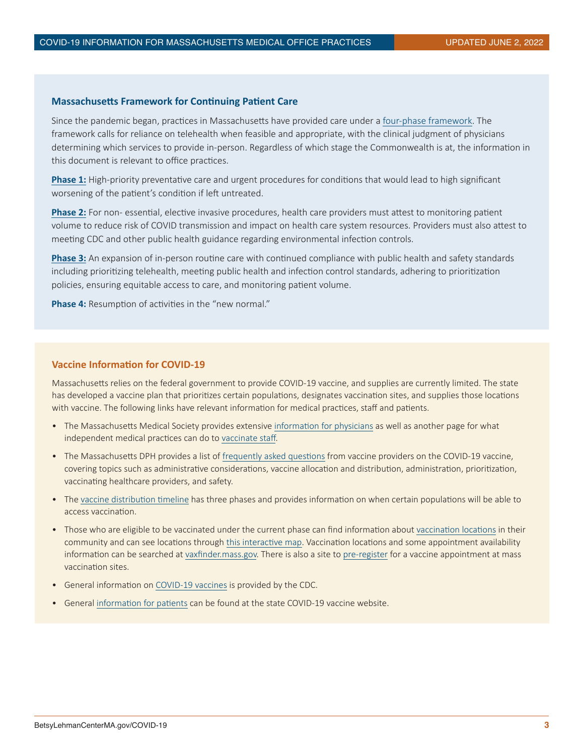#### **Massachusetts Framework for Continuing Patient Care**

Since the pandemic began, practices in Massachusetts have provided care under a [four-phase framework](https://www.mass.gov/lists/reopening-health-and-human-services-in-massachusetts). The framework calls for reliance on telehealth when feasible and appropriate, with the clinical judgment of physicians determining which services to provide in-person. Regardless of which stage the Commonwealth is at, the information in this document is relevant to office practices.

**[Phase 1:](https://www.mass.gov/lists/reopening-health-and-human-services-in-massachusetts-phase-1#phase-1-reopening-overview-)** High-priority preventative care and urgent procedures for conditions that would lead to high significant worsening of the patient's condition if left untreated.

**[Phase 2:](https://www.mass.gov/doc/eohhs-health-and-human-services-phase-2-reopening-approach/download)** For non- essential, elective invasive procedures, health care providers must attest to monitoring patient volume to reduce risk of COVID transmission and impact on health care system resources. Providers must also attest to meeting CDC and other public health guidance regarding environmental infection controls.

**[Phase 3:](https://www.mass.gov/doc/eohhs-health-and-human-services-phase-3-reopening-approach)** An expansion of in-person routine care with continued compliance with public health and safety standards including prioritizing telehealth, meeting public health and infection control standards, adhering to prioritization policies, ensuring equitable access to care, and monitoring patient volume.

**Phase 4:** Resumption of activities in the "new normal."

#### **Vaccine Information for COVID-19**

Massachusetts relies on the federal government to provide COVID-19 vaccine, and supplies are currently limited. The state has developed a vaccine plan that prioritizes certain populations, designates vaccination sites, and supplies those locations with vaccine. The following links have relevant information for medical practices, staff and patients.

- The Massachusetts Medical Society provides extensive [information for physicians](http://www.massmed.org/Patient-Care/COVID-19/COVID-19-Vaccine-Information/) as well as another page for what independent medical practices can do to [vaccinate staff.](http://www.massmed.org/vaccinedepot/#.YBDLlxZOlEY)
- The Massachusetts DPH provides a list of [frequently asked questions](https://www.mass.gov/info-details/covid-19-vaccine-frequently-asked-questions-vaccine-providers) from vaccine providers on the COVID-19 vaccine, covering topics such as administrative considerations, vaccine allocation and distribution, administration, prioritization, vaccinating healthcare providers, and safety.
- The [vaccine distribution timeline](https://www.mass.gov/info-details/when-can-i-get-the-covid-19-vaccine) has three phases and provides information on when certain populations will be able to access vaccination.
- Those who are eligible to be vaccinated under the current phase can find information about [vaccination locations](https://www.maimmunizations.org/clinic/search) in their community and can see locations through [this interactive map.](https://www.google.com/maps/d/viewer?mid=1z197EsKQBJ1jkUL9YjnLSRN30qFRnfqd&ll=42.02761670907853%2C-71.67866000000001&z=8) Vaccination locations and some appointment availability information can be searched at [vaxfinder.mass.gov.]( https://vaxfinder.mass.gov/) There is also a site to [pre-register](https://www.mass.gov/covid-19-vaccine) for a vaccine appointment at mass vaccination sites.
- General information on [COVID-19 vaccines](https://www.cdc.gov/vaccines/covid-19/index.html) is provided by the CDC.
- General [information for patients](https://www.mass.gov/info-details/when-can-i-get-the-covid-19-vaccine) can be found at the state COVID-19 vaccine website.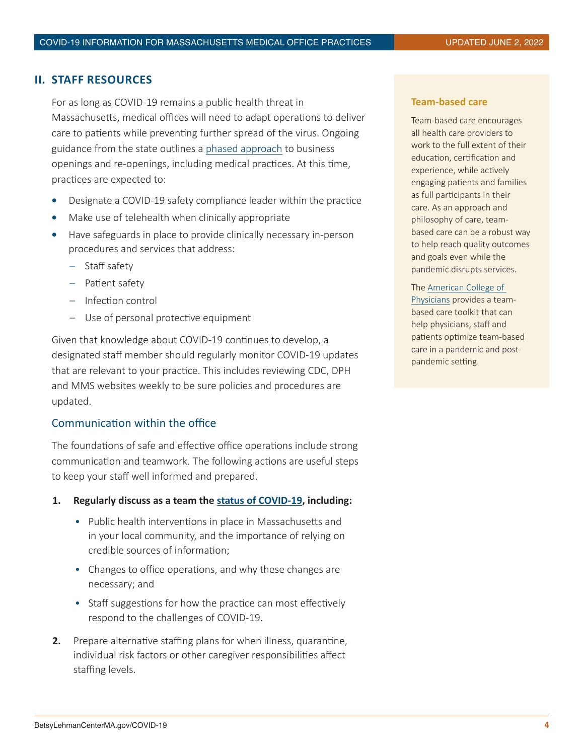# <span id="page-3-0"></span>**II. STAFF RESOURCES**

For as long as COVID-19 remains a public health threat in Massachusetts, medical offices will need to adapt operations to deliver care to patients while preventing further spread of the virus. Ongoing guidance from the state outlines a [phased approach](https://www.mass.gov/lists/reopening-health-and-human-services-in-massachusetts ) to business openings and re-openings, including medical practices. At this time, practices are expected to:

- **•** Designate a COVID-19 safety compliance leader within the practice
- **•** Make use of telehealth when clinically appropriate
- **•** Have safeguards in place to provide clinically necessary in-person procedures and services that address:
	- Staff safety
	- Patient safety
	- Infection control
	- Use of personal protective equipment

Given that knowledge about COVID-19 continues to develop, a designated staff member should regularly monitor COVID-19 updates that are relevant to your practice. This includes reviewing CDC, DPH and MMS websites weekly to be sure policies and procedures are updated.

## Communication within the office

The foundations of safe and effective office operations include strong communication and teamwork. The following actions are useful steps to keep your staff well informed and prepared.

#### **1. Regularly discuss as a team the [status of COVID-19](https://www.mass.gov/info-details/covid-19-response-reporting), including:**

- Public health interventions in place in Massachusetts and in your local community, and the importance of relying on credible sources of information;
- Changes to office operations, and why these changes are necessary; and
- Staff suggestions for how the practice can most effectively respond to the challenges of COVID-19.
- **2.** Prepare alternative staffing plans for when illness, quarantine, individual risk factors or other caregiver responsibilities affect staffing levels.

#### **Team-based care**

Team-based care encourages all health care providers to work to the full extent of their education, certification and experience, while actively engaging patients and families as full participants in their care. As an approach and philosophy of care, teambased care can be a robust way to help reach quality outcomes and goals even while the pandemic disrupts services.

#### The [American College of](https://www.acponline.org/practice-resources/covid-19-practice-management-resources/covid-19-recovery-team-based-care-toolkit)

[Physicians](https://www.acponline.org/practice-resources/covid-19-practice-management-resources/covid-19-recovery-team-based-care-toolkit) provides a teambased care toolkit that can help physicians, staff and patients optimize team-based care in a pandemic and postpandemic setting.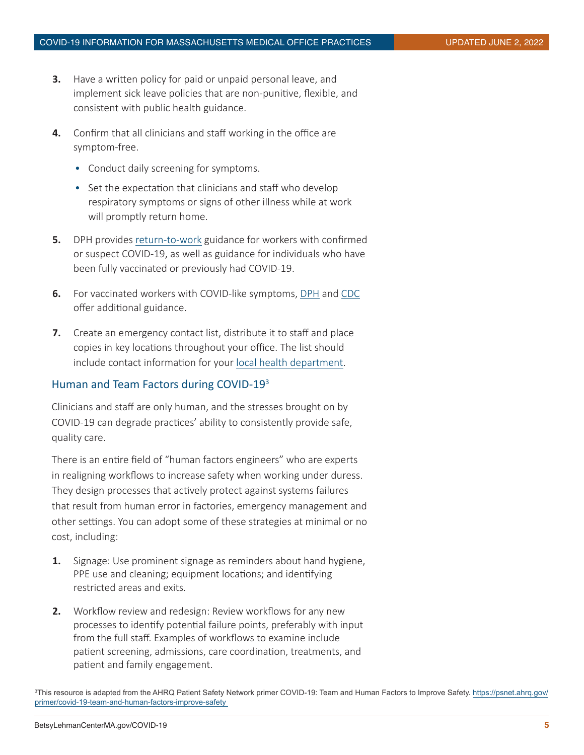- **3.** Have a written policy for paid or unpaid personal leave, and implement sick leave policies that are non-punitive, flexible, and consistent with public health guidance.
- **4.** Confirm that all clinicians and staff working in the office are symptom-free.
	- Conduct daily screening for symptoms.
	- Set the expectation that clinicians and staff who develop respiratory symptoms or signs of other illness while at work will promptly return home.
- **5.** DPH provides [return-to-work](https://www.mass.gov/doc/return-to-work-guidance-updated-march-8-2021/download) guidance for workers with confirmed or suspect COVID-19, as well as guidance for individuals who have been fully vaccinated or previously had COVID-19.
- **6.** For vaccinated workers with COVID-like symptoms, [DPH](https://www.mass.gov/doc/considerations-for-health-care-personnel-after-covid-19-vaccination/download) and [CDC](https://www.cdc.gov/coronavirus/2019-ncov/hcp/post-vaccine-considerations-healthcare-personnel.html) offer additional guidance.
- **7.** Create an emergency contact list, distribute it to staff and place copies in key locations throughout your office. The list should include contact information for your [local health department.](https://www.naccho.org/membership/lhd-directory?searchType=standard&lhd-state=MA&card-filter)

# Human and Team Factors during COVID-19<sup>3</sup>

Clinicians and staff are only human, and the stresses brought on by COVID-19 can degrade practices' ability to consistently provide safe, quality care.

There is an entire field of "human factors engineers" who are experts in realigning workflows to increase safety when working under duress. They design processes that actively protect against systems failures that result from human error in factories, emergency management and other settings. You can adopt some of these strategies at minimal or no cost, including:

- **1.** Signage: Use prominent signage as reminders about hand hygiene, PPE use and cleaning; equipment locations; and identifying restricted areas and exits.
- **2.** Workflow review and redesign: Review workflows for any new processes to identify potential failure points, preferably with input from the full staff. Examples of workflows to examine include patient screening, admissions, care coordination, treatments, and patient and family engagement.

3 This resource is adapted from the AHRQ Patient Safety Network primer COVID-19: Team and Human Factors to Improve Safety. [https://psnet.ahrq.gov/](https://psnet.ahrq.gov/primer/covid-19-team-and-human-factors-improve-safety ) [primer/covid-19-team-and-human-factors-improve-safety](https://psnet.ahrq.gov/primer/covid-19-team-and-human-factors-improve-safety )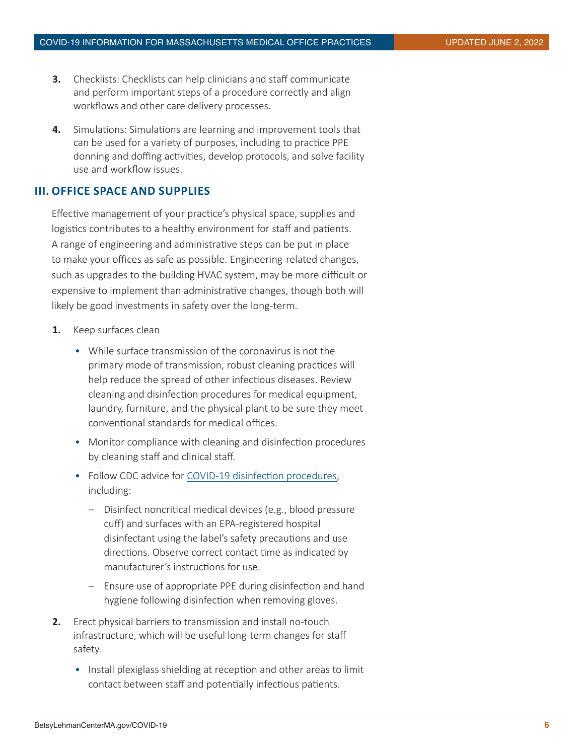- <span id="page-5-0"></span>**3.** Checklists: Checklists can help clinicians and staff communicate and perform important steps of a procedure correctly and align workflows and other care delivery processes.
- **4.** Simulations: Simulations are learning and improvement tools that can be used for a variety of purposes, including to practice PPE donning and doffing activities, develop protocols, and solve facility use and workflow issues.

# **III. OFFICE SPACE AND SUPPLIES**

Effective management of your practice's physical space, supplies and logistics contributes to a healthy environment for staff and patients. A range of engineering and administrative steps can be put in place to make your offices as safe as possible. Engineering-related changes, such as upgrades to the building HVAC system, may be more difficult or expensive to implement than administrative changes, though both will likely be good investments in safety over the long-term.

- **1.** Keep surfaces clean
	- While surface transmission of the coronavirus is not the primary mode of transmission, robust cleaning practices will help reduce the spread of other infectious diseases. Review cleaning and disinfection procedures for medical equipment, laundry, furniture, and the physical plant to be sure they meet conventional standards for medical offices.
	- Monitor compliance with cleaning and disinfection procedures by cleaning staff and clinical staff.
	- Follow CDC advice for [COVID-19 disinfection procedures](https://www.cdc.gov/coronavirus/2019-ncov/infection-control/control-recommendations.html#infection_control), including:
		- Disinfect noncritical medical devices (e.g., blood pressure cuff) and surfaces with an EPA-registered hospital disinfectant using the label's safety precautions and use directions. Observe correct contact time as indicated by manufacturer's instructions for use.
		- Ensure use of appropriate PPE during disinfection and hand hygiene following disinfection when removing gloves.
- **2.** Erect physical barriers to transmission and install no-touch infrastructure, which will be useful long-term changes for staff safety.
	- Install plexiglass shielding at reception and other areas to limit contact between staff and potentially infectious patients.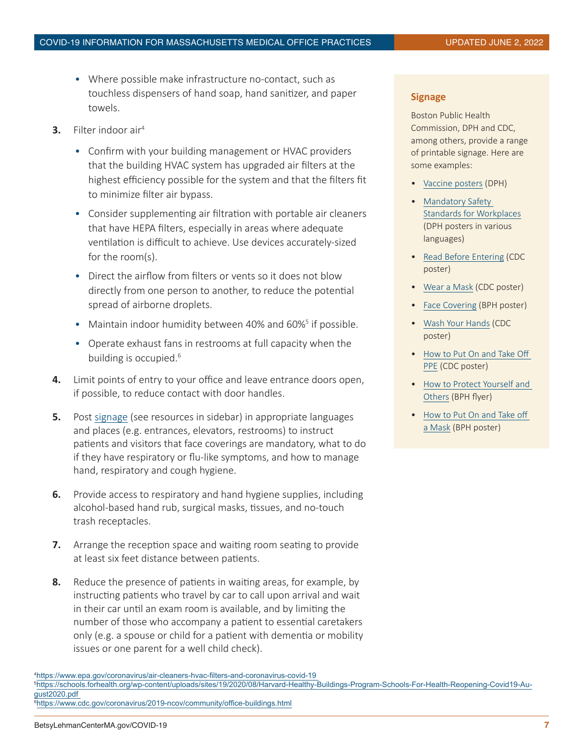- Where possible make infrastructure no-contact, such as touchless dispensers of hand soap, hand sanitizer, and paper towels.
- **3.** Filter indoor air4
	- Confirm with your building management or HVAC providers that the building HVAC system has upgraded air filters at the highest efficiency possible for the system and that the filters fit to minimize filter air bypass.
	- Consider supplementing air filtration with portable air cleaners that have HEPA filters, especially in areas where adequate ventilation is difficult to achieve. Use devices accurately-sized for the room(s).
	- Direct the airflow from filters or vents so it does not blow directly from one person to another, to reduce the potential spread of airborne droplets.
	- Maintain indoor humidity between 40% and 60%<sup>5</sup> if possible.
	- Operate exhaust fans in restrooms at full capacity when the building is occupied.<sup>6</sup>
- **4.** Limit points of entry to your office and leave entrance doors open, if possible, to reduce contact with door handles.
- **5.** Post [signage](https://www.cdc.gov/coronavirus/2019-ncov/healthcare-facilities/practice-preparedness.html) (see resources in sidebar) in appropriate languages and places (e.g. entrances, elevators, restrooms) to instruct patients and visitors that face coverings are mandatory, what to do if they have respiratory or flu-like symptoms, and how to manage hand, respiratory and cough hygiene.
- **6.** Provide access to respiratory and hand hygiene supplies, including alcohol-based hand rub, surgical masks, tissues, and no-touch trash receptacles.
- **7.** Arrange the reception space and waiting room seating to provide at least six feet distance between patients.
- **8.** Reduce the presence of patients in waiting areas, for example, by instructing patients who travel by car to call upon arrival and wait in their car until an exam room is available, and by limiting the number of those who accompany a patient to essential caretakers only (e.g. a spouse or child for a patient with dementia or mobility issues or one parent for a well child check).

## **Signage**

Boston Public Health Commission, DPH and CDC, among others, provide a range of printable signage. Here are some examples:

- [Vaccine posters](https://www.mass.gov/lists/covid-19-vaccine-generic-posters) (DPH)
- [Mandatory Safety](https://www.mass.gov/info-details/reopening-mandatory-safety-standards-for-workplaces#sector-specific-safety-protocols-and-best-practices-)  [Standards for Workplaces](https://www.mass.gov/info-details/reopening-mandatory-safety-standards-for-workplaces#sector-specific-safety-protocols-and-best-practices-) (DPH posters in various languages)
- [Read Before Entering](https://www.cdc.gov/coronavirus/2019-ncov/downloads/Please-Read.pdf) (CDC poster)
- [Wear a Mask](https://www.cdc.gov/coronavirus/2019-ncov/downloads/cloth-face-covering-building-entrance.pdf) (CDC poster)
- [Face Covering](https://bphc.org/whatwedo/infectious-diseases/Infectious-Diseases-A-to-Z/covid-19/Pages/COVID-19-Posters-and-Signage.aspx) (BPH poster)
- [Wash Your Hands](https://www.cdc.gov/coronavirus/2019-ncov/downloads/Handwashing-poster-adults.pdf) (CDC poster)
- [How to Put On and Take Off](https://www.cdc.gov/coronavirus/2019-ncov/downloads/A_FS_HCP_COVID19_PPE.pdf)  [PPE](https://www.cdc.gov/coronavirus/2019-ncov/downloads/A_FS_HCP_COVID19_PPE.pdf) (CDC poster)
- [How to Protect Yourself and](https://bphc.org/whatwedo/infectious-diseases/Infectious-Diseases-A-to-Z/covid-19/Pages/COVID-19-Posters-and-Signage.aspx)  [Others](https://bphc.org/whatwedo/infectious-diseases/Infectious-Diseases-A-to-Z/covid-19/Pages/COVID-19-Posters-and-Signage.aspx) (BPH flyer)
- [How to Put On and Take off](https://bphc.org/whatwedo/infectious-diseases/Infectious-Diseases-A-to-Z/Documents/COVID-19 PPE Mask Sequence.pdf)  [a Mask](https://bphc.org/whatwedo/infectious-diseases/Infectious-Diseases-A-to-Z/Documents/COVID-19 PPE Mask Sequence.pdf) (BPH poster)

<sup>4</sup> [https://www.epa.gov/coronavirus/air-cleaners-hvac-filters-and-coronavirus-covid-19](https://www.epa.gov/coronavirus/air-cleaners-hvac-filters-and-coronavirus-covid-19 ) 

<sup>5</sup> [https://schools.forhealth.org/wp-content/uploads/sites/19/2020/08/Harvard-Healthy-Buildings-Program-Schools-For-Health-Reopening-Covid19-Au](https://schools.forhealth.org/wp-content/uploads/sites/19/2020/08/Harvard-Healthy-Buildings-Program-)[gust2020.pdf](https://schools.forhealth.org/wp-content/uploads/sites/19/2020/08/Harvard-Healthy-Buildings-Program-)  6 <https://www.cdc.gov/coronavirus/2019-ncov/community/office-buildings.html>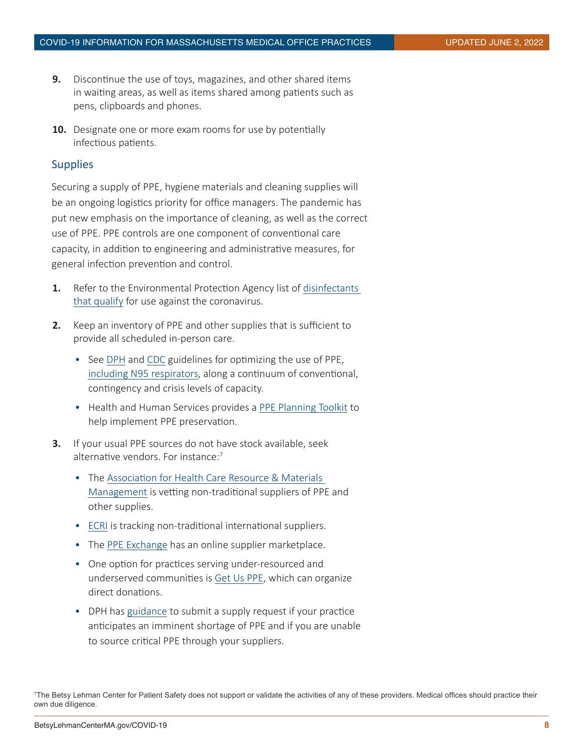- **9.** Discontinue the use of toys, magazines, and other shared items in waiting areas, as well as items shared among patients such as pens, clipboards and phones.
- **10.** Designate one or more exam rooms for use by potentially infectious patients.

## **Supplies**

Securing a supply of PPE, hygiene materials and cleaning supplies will be an ongoing logistics priority for office managers. The pandemic has put new emphasis on the importance of cleaning, as well as the correct use of PPE. PPE controls are one component of conventional care capacity, in addition to engineering and administrative measures, for general infection prevention and control.

- **1.** Refer to the Environmental Protection Agency list of [disinfectants](https://www.epa.gov/pesticide-registration/list-n-disinfectants-use-against-sars-cov-2)  [that qualify](https://www.epa.gov/pesticide-registration/list-n-disinfectants-use-against-sars-cov-2) for use against the coronavirus.
- **2.** Keep an inventory of PPE and other supplies that is sufficient to provide all scheduled in-person care.
	- See [DPH](https://www.mass.gov/doc/guidance-for-prioritization-of-personal-protective-equipment-ppe-in-massachusetts/download) and [CDC](https://www.cdc.gov/coronavirus/2019-ncov/hcp/ppe-strategy/general-optimization-strategies.html) guidelines for optimizing the use of PPE, [including N95 respirators,](file:https://www.cdc.gov/coronavirus/2019-ncov/hcp/respirators-strategy/index.html%20) along a continuum of conventional, contingency and crisis levels of capacity.
	- Health and Human Services provides a [PPE Planning Toolkit](https://files.asprtracie.hhs.gov/documents/ppepp-toolkit-fact-sheet-hrwg.pdf) to help implement PPE preservation.
- **3.** If your usual PPE sources do not have stock available, seek alternative vendors. For instance:<sup>7</sup>
	- The [Association for Health Care Resource & Materials](https://www.ahrmm.org/covid-19-resources-non-traditional-suppliers-offering-ppe-and-other-critical-supplies)  [Management](https://www.ahrmm.org/covid-19-resources-non-traditional-suppliers-offering-ppe-and-other-critical-supplies) is vetting non-traditional suppliers of PPE and other supplies.
	- [ECRI](https://assets.ecri.org/PDF/COVID-19-Resource-Center/COVID-19-Supply-Chain/ECRI-Non-Traditional-Vendors-COVID.xlsx) is tracking non-traditional international suppliers.
	- The [PPE Exchange](https://ppe.exchange/) has an online supplier marketplace.
	- One option for practices serving under-resourced and underserved communities is [Get Us PPE](https://getusppe.org/), which can organize direct donations.
	- DPH has [guidance](https://www.mass.gov/info-details/guidance-for-requesting-personal-protective-equipment-ppe) to submit a supply request if your practice anticipates an imminent shortage of PPE and if you are unable to source critical PPE through your suppliers.

<sup>7</sup> The Betsy Lehman Center for Patient Safety does not support or validate the activities of any of these providers. Medical offices should practice their own due diligence.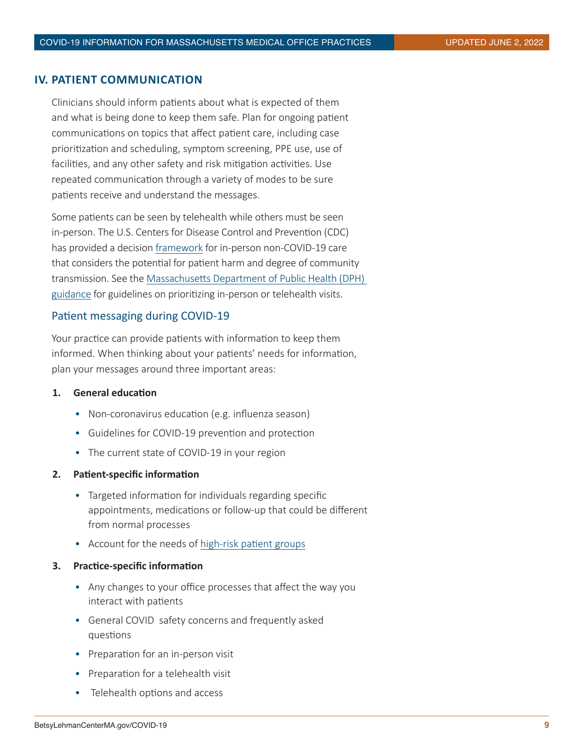# <span id="page-8-0"></span>**IV. PATIENT COMMUNICATION**

Clinicians should inform patients about what is expected of them and what is being done to keep them safe. Plan for ongoing patient communications on topics that affect patient care, including case prioritization and scheduling, symptom screening, PPE use, use of facilities, and any other safety and risk mitigation activities. Use repeated communication through a variety of modes to be sure patients receive and understand the messages.

Some patients can be seen by telehealth while others must be seen in-person. The U.S. Centers for Disease Control and Prevention (CDC) has provided a decision [framework](https://www.cdc.gov/coronavirus/2019-ncov/hcp/framework-non-COVID-care.html) for in-person non-COVID-19 care that considers the potential for patient harm and degree of community transmission. See the [Massachusetts Department of Public Health \(DPH\)](https://www.mass.gov/lists/reopening-health-and-human-services-in-massachusetts)  [guidance](https://www.mass.gov/lists/reopening-health-and-human-services-in-massachusetts) for guidelines on prioritizing in-person or telehealth visits.

## Patient messaging during COVID-19

Your practice can provide patients with information to keep them informed. When thinking about your patients' needs for information, plan your messages around three important areas:

## **1. General education**

- Non-coronavirus education (e.g. influenza season)
- Guidelines for COVID-19 prevention and protection
- The current state of COVID-19 in your region

#### **2. Patient-specific information**

- Targeted information for individuals regarding specific appointments, medications or follow-up that could be different from normal processes
- Account for the needs of [high-risk patient groups](https://www.cdc.gov/coronavirus/2019-ncov/need-extra-precautions/people-with-medical-conditions.html)

#### **3. Practice-specific information**

- Any changes to your office processes that affect the way you interact with patients
- General COVID safety concerns and frequently asked questions
- Preparation for an in-person visit
- Preparation for a telehealth visit
- Telehealth options and access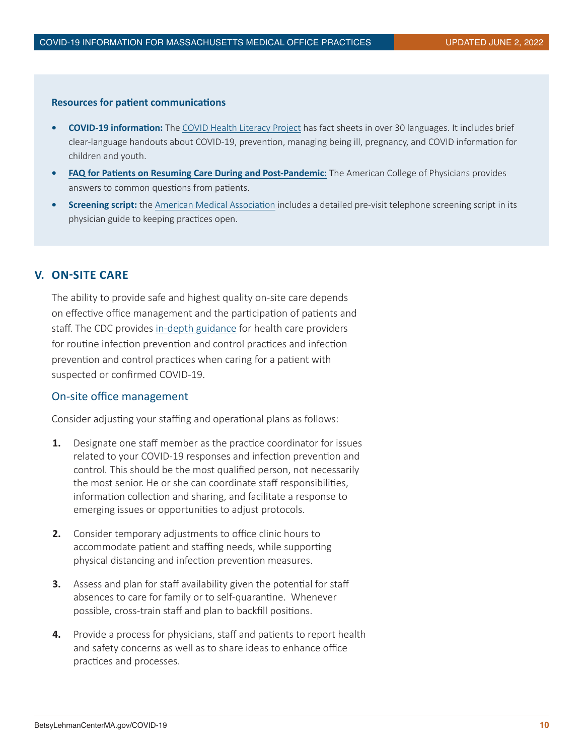#### <span id="page-9-0"></span>**Resources for patient communications**

- **• COVID-19 information:** The [COVID Health Literacy Project](https://covid19healthliteracyproject.com/) has fact sheets in over 30 languages. It includes brief clear-language handouts about COVID-19, prevention, managing being ill, pregnancy, and COVID information for children and youth.
- **• [FAQ for Patients on Resuming Care During and Post-Pandemic:](https://www.acponline.org/system/files/documents/practice-resources/covid-practice-management/covid_reopening_patient_faq_1.pdf)** The American College of Physicians provides answers to common questions from patients.
- **• Screening script:** the [American Medical Association](https://www.ama-assn.org/system/files/2020-08/physican-guide-keep-practices-open-covid-19.pdf) includes a detailed pre-visit telephone screening script in its physician guide to keeping practices open.

## **V. ON-SITE CARE**

The ability to provide safe and highest quality on-site care depends on effective office management and the participation of patients and staff. The CDC provides [in-depth guidance](file:https://www.cdc.gov/coronavirus/2019-ncov/hcp/infection-control-recommendations.html%20) for health care providers for routine infection prevention and control practices and infection prevention and control practices when caring for a patient with suspected or confirmed COVID-19.

## On-site office management

Consider adjusting your staffing and operational plans as follows:

- **1.** Designate one staff member as the practice coordinator for issues related to your COVID-19 responses and infection prevention and control. This should be the most qualified person, not necessarily the most senior. He or she can coordinate staff responsibilities, information collection and sharing, and facilitate a response to emerging issues or opportunities to adjust protocols.
- **2.** Consider temporary adjustments to office clinic hours to accommodate patient and staffing needs, while supporting physical distancing and infection prevention measures.
- **3.** Assess and plan for staff availability given the potential for staff absences to care for family or to self-quarantine. Whenever possible, cross-train staff and plan to backfill positions.
- **4.** Provide a process for physicians, staff and patients to report health and safety concerns as well as to share ideas to enhance office practices and processes.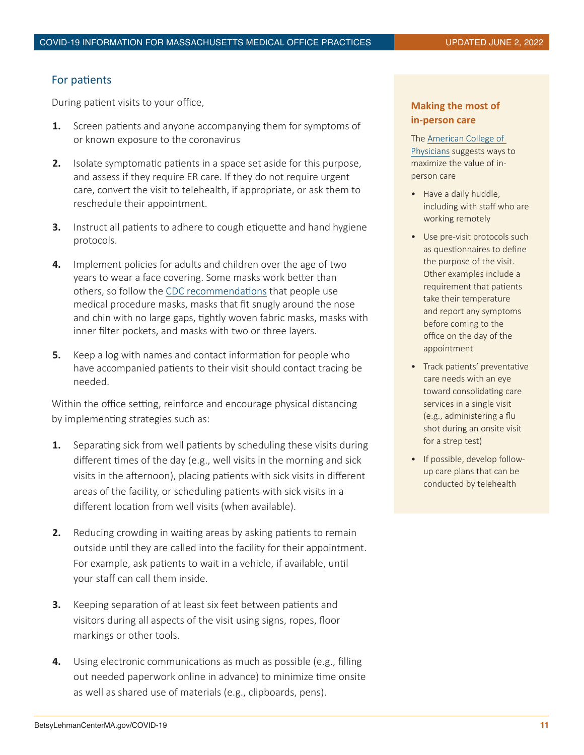# For patients

During patient visits to your office,

- **1.** Screen patients and anyone accompanying them for symptoms of or known exposure to the coronavirus
- **2.** Isolate symptomatic patients in a space set aside for this purpose, and assess if they require ER care. If they do not require urgent care, convert the visit to telehealth, if appropriate, or ask them to reschedule their appointment.
- **3.** Instruct all patients to adhere to cough etiquette and hand hygiene protocols.
- **4.** Implement policies for adults and children over the age of two years to wear a face covering. Some masks work better than others, so follow the [CDC recommendations](file:https://www.cdc.gov/coronavirus/2019-ncov/prevent-getting-sick/cloth-face-cover-guidance.html%20) that people use medical procedure masks, masks that fit snugly around the nose and chin with no large gaps, tightly woven fabric masks, masks with inner filter pockets, and masks with two or three layers.
- **5.** Keep a log with names and contact information for people who have accompanied patients to their visit should contact tracing be needed.

Within the office setting, reinforce and encourage physical distancing by implementing strategies such as:

- **1.** Separating sick from well patients by scheduling these visits during different times of the day (e.g., well visits in the morning and sick visits in the afternoon), placing patients with sick visits in different areas of the facility, or scheduling patients with sick visits in a different location from well visits (when available).
- **2.** Reducing crowding in waiting areas by asking patients to remain outside until they are called into the facility for their appointment. For example, ask patients to wait in a vehicle, if available, until your staff can call them inside.
- **3.** Keeping separation of at least six feet between patients and visitors during all aspects of the visit using signs, ropes, floor markings or other tools.
- **4.** Using electronic communications as much as possible (e.g., filling out needed paperwork online in advance) to minimize time onsite as well as shared use of materials (e.g., clipboards, pens).

# **Making the most of in-person care**

The [American College of](https://www.acponline.org/system/files/documents/practice-resources/covid-practice-management/workflow_modifications_for_covid_recovery_3.pdf)  [Physicians](https://www.acponline.org/system/files/documents/practice-resources/covid-practice-management/workflow_modifications_for_covid_recovery_3.pdf) suggests ways to maximize the value of inperson care

- Have a daily huddle, including with staff who are working remotely
- Use pre-visit protocols such as questionnaires to define the purpose of the visit. Other examples include a requirement that patients take their temperature and report any symptoms before coming to the office on the day of the appointment
- Track patients' preventative care needs with an eye toward consolidating care services in a single visit (e.g., administering a flu shot during an onsite visit for a strep test)
- If possible, develop followup care plans that can be conducted by telehealth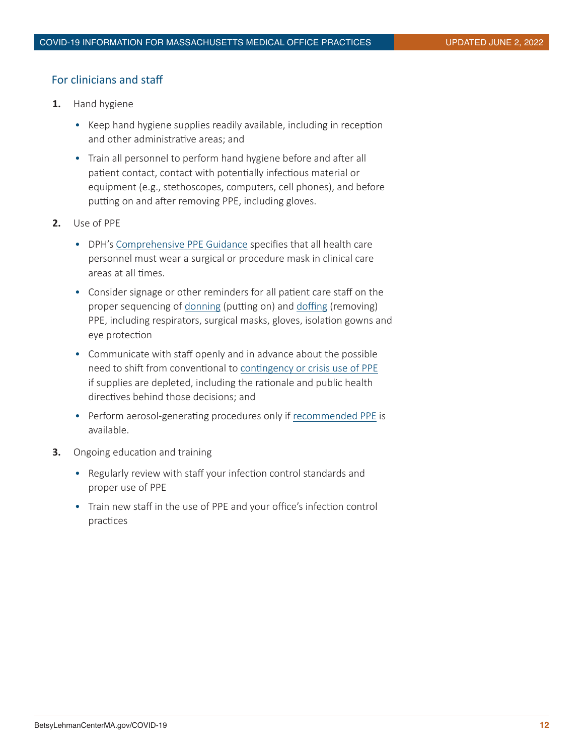# For clinicians and staff

- **1.** Hand hygiene
	- Keep hand hygiene supplies readily available, including in reception and other administrative areas; and
	- Train all personnel to perform hand hygiene before and after all patient contact, contact with potentially infectious material or equipment (e.g., stethoscopes, computers, cell phones), and before putting on and after removing PPE, including gloves.
- **2.** Use of PPE
	- DPH's [Comprehensive PPE Guidance](https://www.mass.gov/info-details/personal-protective-equipment-ppe-during-covid-19) specifies that all health care personnel must wear a surgical or procedure mask in clinical care areas at all times.
	- Consider signage or other reminders for all patient care staff on the proper sequencing of [donning](https://www.youtube.com/watch?v=52NqOvWygMY&feature=youtu.be) (putting on) and [doffing](https://www.youtube.com/watch?v=5orqrFCP3ss&feature=youtu.be) (removing) PPE, including respirators, surgical masks, gloves, isolation gowns and eye protection
	- Communicate with staff openly and in advance about the possible need to shift from conventional to [contingency or crisis use of PPE](https://www.cdc.gov/coronavirus/2019-ncov/hcp/ppe-strategy/index.html) if supplies are depleted, including the rationale and public health directives behind those decisions; and
	- Perform aerosol-generating procedures only if [recommended PPE](https://www.mass.gov/info-details/personal-protective-equipment-ppe-during-covid-19) is available.
- **3.** Ongoing education and training
	- Regularly review with staff your infection control standards and proper use of PPE
	- Train new staff in the use of PPE and your office's infection control practices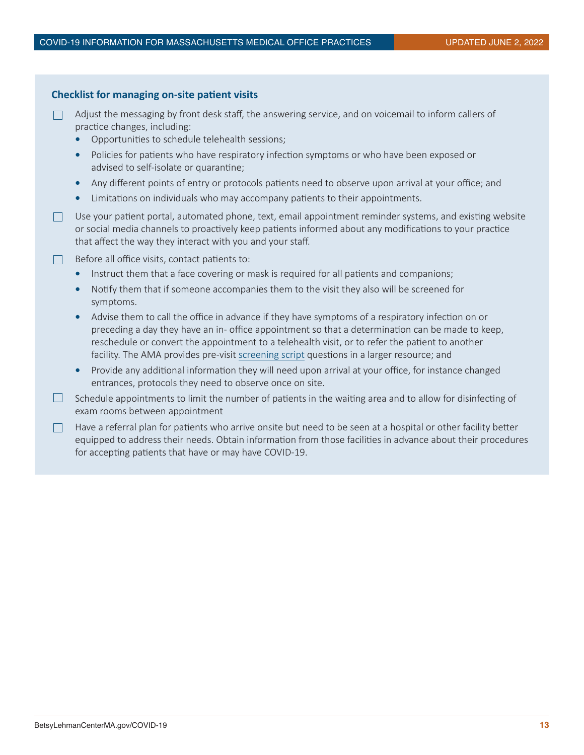| <b>Checklist for managing on-site patient visits</b> |                                                                                                                                                                                                                                                                                                                                                                                                                   |
|------------------------------------------------------|-------------------------------------------------------------------------------------------------------------------------------------------------------------------------------------------------------------------------------------------------------------------------------------------------------------------------------------------------------------------------------------------------------------------|
|                                                      | Adjust the messaging by front desk staff, the answering service, and on voicemail to inform callers of<br>practice changes, including:<br>Opportunities to schedule telehealth sessions;                                                                                                                                                                                                                          |
|                                                      | Policies for patients who have respiratory infection symptoms or who have been exposed or<br>$\bullet$<br>advised to self-isolate or quarantine;                                                                                                                                                                                                                                                                  |
|                                                      | Any different points of entry or protocols patients need to observe upon arrival at your office; and<br>$\bullet$<br>Limitations on individuals who may accompany patients to their appointments.<br>$\bullet$                                                                                                                                                                                                    |
|                                                      | Use your patient portal, automated phone, text, email appointment reminder systems, and existing website<br>or social media channels to proactively keep patients informed about any modifications to your practice<br>that affect the way they interact with you and your staff.                                                                                                                                 |
|                                                      | Before all office visits, contact patients to:                                                                                                                                                                                                                                                                                                                                                                    |
|                                                      | Instruct them that a face covering or mask is required for all patients and companions;<br>$\bullet$                                                                                                                                                                                                                                                                                                              |
|                                                      | Notify them that if someone accompanies them to the visit they also will be screened for<br>$\bullet$<br>symptoms.                                                                                                                                                                                                                                                                                                |
|                                                      | Advise them to call the office in advance if they have symptoms of a respiratory infection on or<br>$\bullet$<br>preceding a day they have an in- office appointment so that a determination can be made to keep,<br>reschedule or convert the appointment to a telehealth visit, or to refer the patient to another<br>facility. The AMA provides pre-visit screening script questions in a larger resource; and |
|                                                      | Provide any additional information they will need upon arrival at your office, for instance changed<br>$\bullet$<br>entrances, protocols they need to observe once on site.                                                                                                                                                                                                                                       |
|                                                      | Schedule appointments to limit the number of patients in the waiting area and to allow for disinfecting of<br>exam rooms between appointment                                                                                                                                                                                                                                                                      |
|                                                      | Have a referral plan for patients who arrive onsite but need to be seen at a hospital or other facility better<br>equipped to address their needs. Obtain information from those facilities in advance about their procedures<br>for accepting patients that have or may have COVID-19.                                                                                                                           |
|                                                      |                                                                                                                                                                                                                                                                                                                                                                                                                   |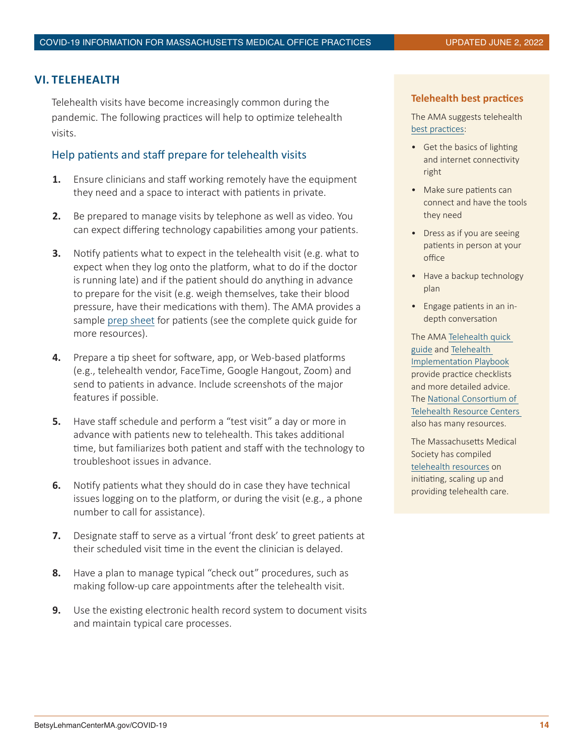## <span id="page-13-0"></span>**VI. TELEHEALTH**

Telehealth visits have become increasingly common during the pandemic. The following practices will help to optimize telehealth visits.

# Help patients and staff prepare for telehealth visits

- **1.** Ensure clinicians and staff working remotely have the equipment they need and a space to interact with patients in private.
- **2.** Be prepared to manage visits by telephone as well as video. You can expect differing technology capabilities among your patients.
- **3.** Notify patients what to expect in the telehealth visit (e.g. what to expect when they log onto the platform, what to do if the doctor is running late) and if the patient should do anything in advance to prepare for the visit (e.g. weigh themselves, take their blood pressure, have their medications with them). The AMA provides a sample [prep sheet](https://www.ama-assn.org/system/files/2020-04/telehealth-appendix-I3-patient-take-home-prep-sheet.pdf) for patients (see the complete quick guide for more resources).
- **4.** Prepare a tip sheet for software, app, or Web-based platforms (e.g., telehealth vendor, FaceTime, Google Hangout, Zoom) and send to patients in advance. Include screenshots of the major features if possible.
- **5.** Have staff schedule and perform a "test visit" a day or more in advance with patients new to telehealth. This takes additional time, but familiarizes both patient and staff with the technology to troubleshoot issues in advance.
- **6.** Notify patients what they should do in case they have technical issues logging on to the platform, or during the visit (e.g., a phone number to call for assistance).
- **7.** Designate staff to serve as a virtual 'front desk' to greet patients at their scheduled visit time in the event the clinician is delayed.
- **8.** Have a plan to manage typical "check out" procedures, such as making follow-up care appointments after the telehealth visit.
- **9.** Use the existing electronic health record system to document visits and maintain typical care processes.

#### **Telehealth best practices**

The AMA suggests telehealth [best practices:](https://www.ama-assn.org/practice-management/digital/6-best-practices-sharpen-physicians-use-telehealth)

- Get the basics of lighting and internet connectivity right
- Make sure patients can connect and have the tools they need
- Dress as if you are seeing patients in person at your office
- Have a backup technology plan
- Engage patients in an indepth conversation

The AMA [Telehealth quick](https://www.ama-assn.org/practice-management/digital/ama-telehealth-quick-guide)  [guide](https://www.ama-assn.org/practice-management/digital/ama-telehealth-quick-guide) and [Telehealth](https://www.ama-assn.org/amaone/ama-digital-health-implementation-playbook)  [Implementation Playbook](https://www.ama-assn.org/amaone/ama-digital-health-implementation-playbook) provide practice checklists and more detailed advice. The [National Consortium of](https://www.telehealthresourcecenter.org/covid-19-resources/)  [Telehealth Resource Centers](https://www.telehealthresourcecenter.org/covid-19-resources/)  also has many resources.

The Massachusetts Medical Society has compiled [telehealth resources](file:http://www.massmed.org/Patient-Care/COVID-19/Telehealth-and-Virtual-Care/) on initiating, scaling up and providing telehealth care.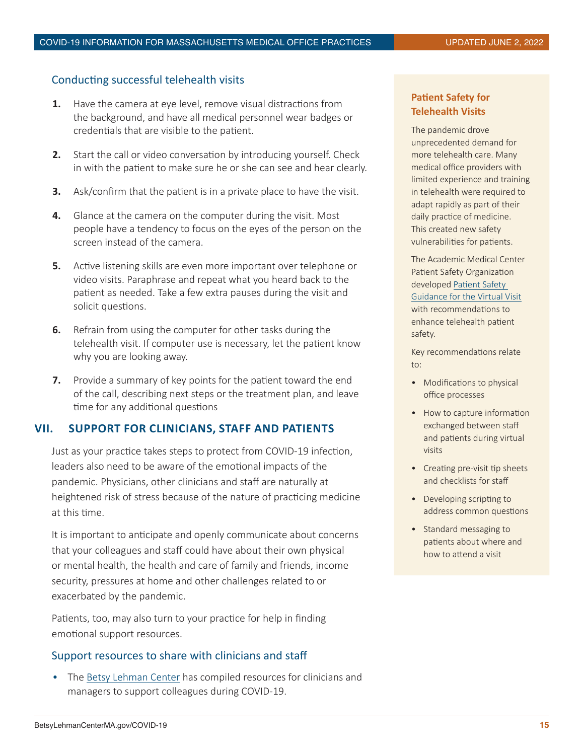# <span id="page-14-0"></span>Conducting successful telehealth visits

- **1.** Have the camera at eye level, remove visual distractions from the background, and have all medical personnel wear badges or credentials that are visible to the patient.
- **2.** Start the call or video conversation by introducing yourself. Check in with the patient to make sure he or she can see and hear clearly.
- **3.** Ask/confirm that the patient is in a private place to have the visit.
- **4.** Glance at the camera on the computer during the visit. Most people have a tendency to focus on the eyes of the person on the screen instead of the camera.
- **5.** Active listening skills are even more important over telephone or video visits. Paraphrase and repeat what you heard back to the patient as needed. Take a few extra pauses during the visit and solicit questions.
- **6.** Refrain from using the computer for other tasks during the telehealth visit. If computer use is necessary, let the patient know why you are looking away.
- **7.** Provide a summary of key points for the patient toward the end of the call, describing next steps or the treatment plan, and leave time for any additional questions

## **VII. SUPPORT FOR CLINICIANS, STAFF AND PATIENTS**

Just as your practice takes steps to protect from COVID-19 infection, leaders also need to be aware of the emotional impacts of the pandemic. Physicians, other clinicians and staff are naturally at heightened risk of stress because of the nature of practicing medicine at this time.

It is important to anticipate and openly communicate about concerns that your colleagues and staff could have about their own physical or mental health, the health and care of family and friends, income security, pressures at home and other challenges related to or exacerbated by the pandemic.

Patients, too, may also turn to your practice for help in finding emotional support resources.

## Support resources to share with clinicians and staff

• The [Betsy Lehman Center](https://betsylehmancenterma.gov/covid-19/supporting-clinicians-and-staff-during-covid-19-outbreak) has compiled resources for clinicians and managers to support colleagues during COVID-19.

# **Patient Safety for Telehealth Visits**

The pandemic drove unprecedented demand for more telehealth care. Many medical office providers with limited experience and training in telehealth were required to adapt rapidly as part of their daily practice of medicine. This created new safety vulnerabilities for patients.

The Academic Medical Center Patient Safety Organization developed [Patient Safety](https://www.rmf.harvard.edu/Clinician-Resources/Guidelines-Algorithms/2021/Patient-Safety-Guidance-for-the-Virtual-Visit-AMC-PSO#download)  [Guidance for the Virtual Visit](https://www.rmf.harvard.edu/Clinician-Resources/Guidelines-Algorithms/2021/Patient-Safety-Guidance-for-the-Virtual-Visit-AMC-PSO#download) with recommendations to enhance telehealth patient safety.

Key recommendations relate to:

- Modifications to physical office processes
- How to capture information exchanged between staff and patients during virtual visits
- Creating pre-visit tip sheets and checklists for staff
- Developing scripting to address common questions
- Standard messaging to patients about where and how to attend a visit